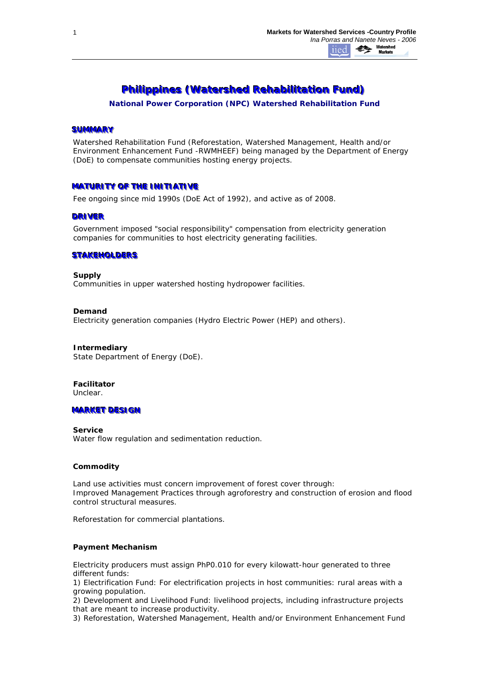# **Philippines (Watershed Rehabilitation Fund)**

*National Power Corporation (NPC) Watershed Rehabilitation Fund*

# **SUMMARY**

Watershed Rehabilitation Fund (Reforestation, Watershed Management, Health and/or Environment Enhancement Fund -RWMHEEF) being managed by the Department of Energy (DoE) to compensate communities hosting energy projects.

# **MATURITY OF THE INITIATIVE**

Fee ongoing since mid 1990s (DoE Act of 1992), and active as of 2008.

### **DRIVER**

Government imposed "social responsibility" compensation from electricity generation companies for communities to host electricity generating facilities.

### **STAKEHOLDERS**

**Supply** Communities in upper watershed hosting hydropower facilities.

**Demand** Electricity generation companies (Hydro Electric Power (HEP) and others).

**Intermediary** State Department of Energy (DoE).

**Facilitator** Unclear.

# **MARKET DESIGN**

**Service** Water flow regulation and sedimentation reduction.

# **Commodity**

Land use activities must concern improvement of forest cover through: *Improved Management Practices* through agroforestry and construction of erosion and flood control structural measures.

*Reforestation for commercial plantations.*

#### **Payment Mechanism**

Electricity producers must assign PhP0.010 for every kilowatt-hour generated to three different funds:

1) Electrification Fund: For electrification projects in host communities: rural areas with a growing population.

2) Development and Livelihood Fund: livelihood projects, including infrastructure projects that are meant to increase productivity.

3) Reforestation, Watershed Management, Health and/or Environment Enhancement Fund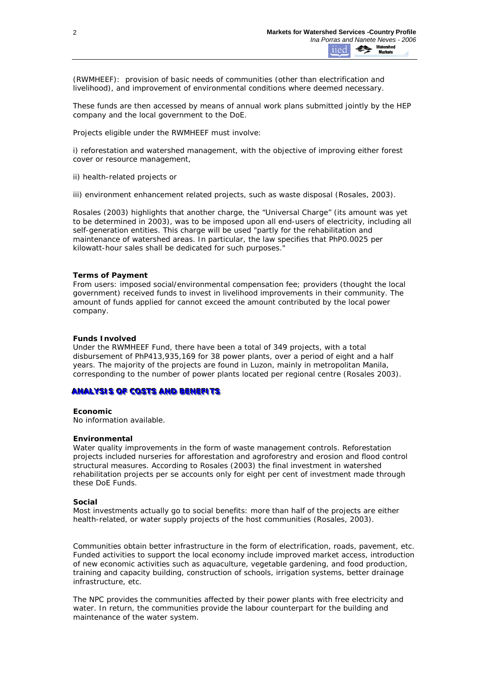(RWMHEEF): provision of basic needs of communities (other than electrification and livelihood), and improvement of environmental conditions where deemed necessary.

These funds are then accessed by means of annual work plans submitted jointly by the HEP company and the local government to the DoE.

Projects eligible under the RWMHEEF must involve:

i) reforestation and watershed management, with the objective of improving either forest cover or resource management,

ii) health-related projects or

iii) environment enhancement related projects, such as waste disposal (Rosales, 2003).

Rosales (2003) highlights that another charge, the "Universal Charge" (its amount was yet to be determined in 2003), was to be imposed upon all end-users of electricity, including all self-generation entities. This charge will be used "partly for the rehabilitation and maintenance of watershed areas. In particular, the law specifies that PhP0.0025 per kilowatt-hour sales shall be dedicated for such purposes."

#### **Terms of Payment**

*From users:* imposed social/environmental compensation fee; providers (thought the local government) received funds to invest in livelihood improvements in their community. The amount of funds applied for cannot exceed the amount contributed by the local power company.

### **Funds Involved**

Under the RWMHEEF Fund, there have been a total of 349 projects, with a total disbursement of PhP413,935,169 for 38 power plants, over a period of eight and a half years. The majority of the projects are found in Luzon, mainly in metropolitan Manila, corresponding to the number of power plants located per regional centre (Rosales 2003).

#### **ANALYSIS OF COSTS AND BENEFITS**

#### **Economic**

No information available.

#### **Environmental**

Water quality improvements in the form of waste management controls. Reforestation projects included nurseries for afforestation and agroforestry and erosion and flood control structural measures. According to Rosales (2003) the final investment in watershed rehabilitation projects per se accounts only for eight per cent of investment made through these DoE Funds.

#### **Social**

Most investments actually go to social benefits: more than half of the projects are either health-related, or water supply projects of the host communities (Rosales, 2003).

Communities obtain better infrastructure in the form of electrification, roads, pavement, etc. Funded activities to support the local economy include improved market access, introduction of new economic activities such as aquaculture, vegetable gardening, and food production, training and capacity building, construction of schools, irrigation systems, better drainage infrastructure, etc.

The NPC provides the communities affected by their power plants with free electricity and water. In return, the communities provide the labour counterpart for the building and maintenance of the water system.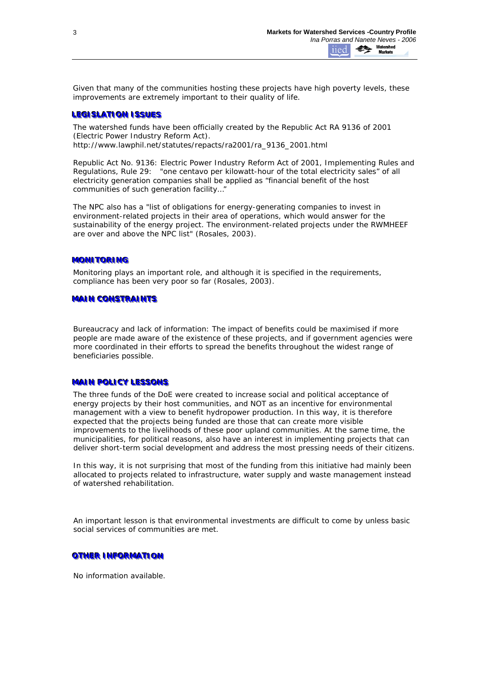Given that many of the communities hosting these projects have high poverty levels, these improvements are extremely important to their quality of life.

# **LEGISLATION ISSUES**

The watershed funds have been officially created by the Republic Act RA 9136 of 2001 (Electric Power Industry Reform Act). http://www.lawphil.net/statutes/repacts/ra2001/ra\_9136\_2001.html

Republic Act No. 9136: Electric Power Industry Reform Act of 2001, Implementing Rules and Regulations, Rule 29: "one centavo per kilowatt-hour of the total electricity sales" of all electricity generation companies shall be applied as "financial benefit of the host communities of such generation facility…"

The NPC also has a "list of obligations for energy-generating companies to invest in environment-related projects in their area of operations, which would answer for the sustainability of the energy project. The environment-related projects under the RWMHEEF are over and above the NPC list" (Rosales, 2003).

# **MONITORING**

Monitoring plays an important role, and although it is specified in the requirements, compliance has been very poor so far (Rosales, 2003).

# **MAIN CONSTRAINTS**

*Bureaucracy and lack of information*: The impact of benefits could be maximised if more people are made aware of the existence of these projects, and if government agencies were more coordinated in their efforts to spread the benefits throughout the widest range of beneficiaries possible.

#### **MAIN POLICY LESSONS**

The three funds of the DoE were created to increase social and political acceptance of energy projects by their host communities, and NOT as an incentive for environmental management with a view to benefit hydropower production. In this way, it is therefore expected that the projects being funded are those that can create more visible improvements to the livelihoods of these poor upland communities. At the same time, the municipalities, for political reasons, also have an interest in implementing projects that can deliver short-term social development and address the most pressing needs of their citizens.

In this way, it is not surprising that most of the funding from this initiative had mainly been allocated to projects related to infrastructure, water supply and waste management instead of watershed rehabilitation.

An important lesson is that environmental investments are difficult to come by unless basic social services of communities are met.

**OTHER INFORMATION** 

No information available.